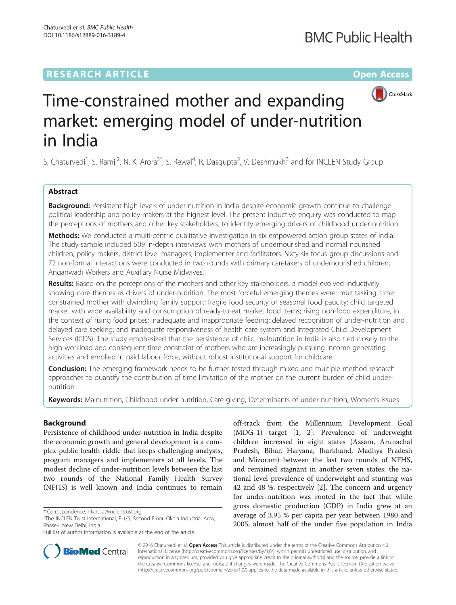## **RESEARCH ARTICLE Example 2014 12:30 The Community Community Community Community Community Community Community**



# Time-constrained mother and expanding market: emerging model of under-nutrition in India

S. Chaturvedi<sup>1</sup>, S. Ramji<sup>2</sup>, N. K. Arora<sup>3\*</sup>, S. Rewal<sup>4</sup>, R. Dasgupta<sup>5</sup>, V. Deshmukh<sup>3</sup> and for INCLEN Study Group

## Abstract

**Background:** Persistent high levels of under-nutrition in India despite economic growth continue to challenge political leadership and policy makers at the highest level. The present inductive enquiry was conducted to map the perceptions of mothers and other key stakeholders, to identify emerging drivers of childhood under-nutrition.

Methods: We conducted a multi-centric qualitative investigation in six empowered action group states of India. The study sample included 509 in-depth interviews with mothers of undernourished and normal nourished children, policy makers, district level managers, implementer and facilitators. Sixty six focus group discussions and 72 non-formal interactions were conducted in two rounds with primary caretakers of undernourished children, Anganwadi Workers and Auxiliary Nurse Midwives.

Results: Based on the perceptions of the mothers and other key stakeholders, a model evolved inductively showing core themes as drivers of under-nutrition. The most forceful emerging themes were: multitasking, time constrained mother with dwindling family support; fragile food security or seasonal food paucity; child targeted market with wide availability and consumption of ready-to-eat market food items; rising non-food expenditure, in the context of rising food prices; inadequate and inappropriate feeding; delayed recognition of under-nutrition and delayed care seeking; and inadequate responsiveness of health care system and Integrated Child Development Services (ICDS). The study emphasized that the persistence of child malnutrition in India is also tied closely to the high workload and consequent time constraint of mothers who are increasingly pursuing income generating activities and enrolled in paid labour force, without robust institutional support for childcare.

**Conclusion:** The emerging framework needs to be further tested through mixed and multiple method research approaches to quantify the contribution of time limitation of the mother on the current burden of child undernutrition.

Keywords: Malnutrition, Childhood under-nutrition, Care-giving, Determinants of under-nutrition, Women's issues

## Background

Persistence of childhood under-nutrition in India despite the economic growth and general development is a complex public health riddle that keeps challenging analysts, program managers and implementers at all levels. The modest decline of under-nutrition levels between the last two rounds of the National Family Health Survey (NFHS) is well known and India continues to remain

off-track from the Millennium Development Goal (MDG-1) target [\[1, 2](#page-11-0)]. Prevalence of underweight children increased in eight states (Assam, Arunachal Pradesh, Bihar, Haryana, Jharkhand, Madhya Pradesh and Mizoram) between the last two rounds of NFHS, and remained stagnant in another seven states; the national level prevalence of underweight and stunting was 42 and 48 %, respectively [\[2](#page-11-0)]. The concern and urgency for under-nutrition was rooted in the fact that while gross domestic production (GDP) in India grew at an average of 3.95 % per capita per year between 1980 and 2005, almost half of the under five population in India



© 2016 Chaturvedi et al. Open Access This article is distributed under the terms of the Creative Commons Attribution 4.0 International License [\(http://creativecommons.org/licenses/by/4.0/](http://creativecommons.org/licenses/by/4.0/)), which permits unrestricted use, distribution, and reproduction in any medium, provided you give appropriate credit to the original author(s) and the source, provide a link to the Creative Commons license, and indicate if changes were made. The Creative Commons Public Domain Dedication waiver [\(http://creativecommons.org/publicdomain/zero/1.0/](http://creativecommons.org/publicdomain/zero/1.0/)) applies to the data made available in this article, unless otherwise stated.

<sup>\*</sup> Correspondence: [nkarora@inclentrust.org](mailto:nkarora@inclentrust.org) <sup>3</sup>

<sup>&</sup>lt;sup>3</sup>The INCLEN Trust International, F-1/5, Second Floor, Okhla Industrial Area, Phase-I, New Delhi, India

Full list of author information is available at the end of the article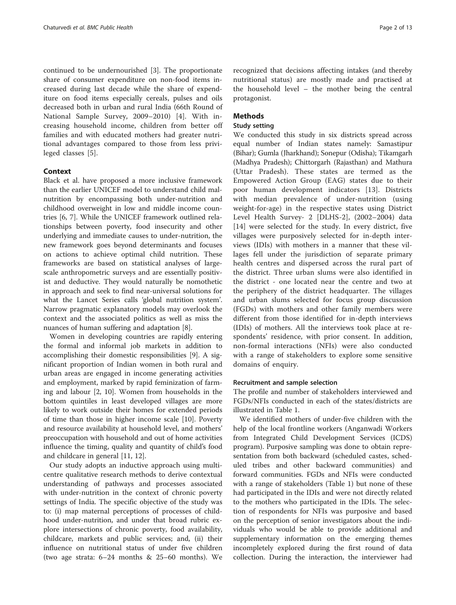continued to be undernourished [[3\]](#page-11-0). The proportionate share of consumer expenditure on non-food items increased during last decade while the share of expenditure on food items especially cereals, pulses and oils decreased both in urban and rural India (66th Round of National Sample Survey, 2009–2010) [\[4](#page-11-0)]. With increasing household income, children from better off families and with educated mothers had greater nutritional advantages compared to those from less privileged classes [\[5](#page-11-0)].

## Context

Black et al. have proposed a more inclusive framework than the earlier UNICEF model to understand child malnutrition by encompassing both under-nutrition and childhood overweight in low and middle income countries [[6, 7](#page-11-0)]. While the UNICEF framework outlined relationships between poverty, food insecurity and other underlying and immediate causes to under-nutrition, the new framework goes beyond determinants and focuses on actions to achieve optimal child nutrition. These frameworks are based on statistical analyses of largescale anthropometric surveys and are essentially positivist and deductive. They would naturally be nomothetic in approach and seek to find near-universal solutions for what the Lancet Series calls 'global nutrition system'. Narrow pragmatic explanatory models may overlook the context and the associated politics as well as miss the nuances of human suffering and adaptation [\[8](#page-11-0)].

Women in developing countries are rapidly entering the formal and informal job markets in addition to accomplishing their domestic responsibilities [[9\]](#page-11-0). A significant proportion of Indian women in both rural and urban areas are engaged in income generating activities and employment, marked by rapid feminization of farming and labour [\[2](#page-11-0), [10](#page-11-0)]. Women from households in the bottom quintiles in least developed villages are more likely to work outside their homes for extended periods of time than those in higher income scale [[10\]](#page-11-0). Poverty and resource availability at household level, and mothers' preoccupation with household and out of home activities influence the timing, quality and quantity of child's food and childcare in general [\[11, 12\]](#page-11-0).

Our study adopts an inductive approach using multicentre qualitative research methods to derive contextual understanding of pathways and processes associated with under-nutrition in the context of chronic poverty settings of India. The specific objective of the study was to: (i) map maternal perceptions of processes of childhood under-nutrition, and under that broad rubric explore intersections of chronic poverty, food availability, childcare, markets and public services; and, (ii) their influence on nutritional status of under five children (two age strata: 6–24 months & 25–60 months). We recognized that decisions affecting intakes (and thereby nutritional status) are mostly made and practised at the household level – the mother being the central protagonist.

## Methods

## Study setting

We conducted this study in six districts spread across equal number of Indian states namely: Samastipur (Bihar); Gumla (Jharkhand); Sonepur (Odisha); Tikamgarh (Madhya Pradesh); Chittorgarh (Rajasthan) and Mathura (Uttar Pradesh). These states are termed as the Empowered Action Group (EAG) states due to their poor human development indicators [[13\]](#page-11-0). Districts with median prevalence of under-nutrition (using weight-for-age) in the respective states using District Level Health Survey- 2 [DLHS-2], (2002–2004) data [[14\]](#page-11-0) were selected for the study. In every district, five villages were purposively selected for in-depth interviews (IDIs) with mothers in a manner that these villages fell under the jurisdiction of separate primary health centres and dispersed across the rural part of the district. Three urban slums were also identified in the district - one located near the centre and two at the periphery of the district headquarter. The villages and urban slums selected for focus group discussion (FGDs) with mothers and other family members were different from those identified for in-depth interviews (IDIs) of mothers. All the interviews took place at respondents' residence, with prior consent. In addition, non-formal interactions (NFIs) were also conducted with a range of stakeholders to explore some sensitive domains of enquiry.

## Recruitment and sample selection

The profile and number of stakeholders interviewed and FGDs/NFIs conducted in each of the states/districts are illustrated in Table [1](#page-2-0).

We identified mothers of under-five children with the help of the local frontline workers (Anganwadi Workers from Integrated Child Development Services (ICDS) program). Purposive sampling was done to obtain representation from both backward (scheduled castes, scheduled tribes and other backward communities) and forward communities. FGDs and NFIs were conducted with a range of stakeholders (Table [1\)](#page-2-0) but none of these had participated in the IDIs and were not directly related to the mothers who participated in the IDIs. The selection of respondents for NFIs was purposive and based on the perception of senior investigators about the individuals who would be able to provide additional and supplementary information on the emerging themes incompletely explored during the first round of data collection. During the interaction, the interviewer had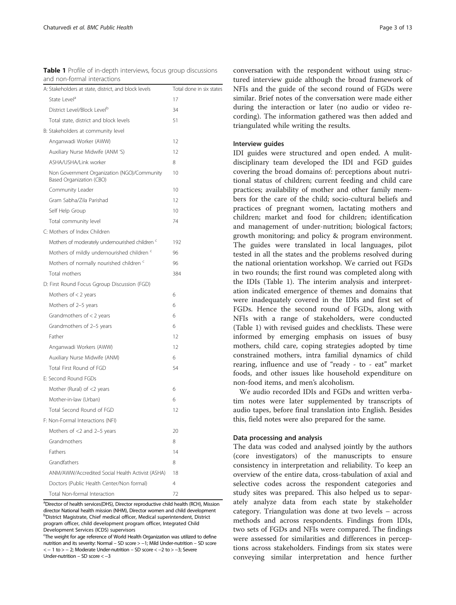| and non-formal interactions                                             |                          |
|-------------------------------------------------------------------------|--------------------------|
| A: Stakeholders at state, district, and block levels                    | Total done in six states |
| State Level <sup>a</sup>                                                | 17                       |
| District Level/Block Level <sup>b</sup>                                 | 34                       |
| Total state, district and block levels                                  | 51                       |
| B: Stakeholders at community level                                      |                          |
| Anganwadi Worker (AWW)                                                  | 12                       |
| Auxiliary Nurse Midwife (ANM 'S)                                        | 12                       |
| ASHA/USHA/Link worker                                                   | 8                        |
| Non Government Organization (NGO)/Community<br>Based Organization (CBO) | 10                       |
| Community Leader                                                        | 10                       |
| Gram Sabha/Zila Parishad                                                | 12                       |
| Self Help Group                                                         | 10                       |
| Total community level                                                   | 74                       |
| C: Mothers of Index Children                                            |                          |
| Mothers of moderately undernourished children <sup>c</sup>              | 192                      |
| Mothers of mildly undernourished children <sup>c</sup>                  | 96                       |
| Mothers of normally nourished children <sup>c</sup>                     | 96                       |
| Total mothers                                                           | 384                      |
| D: First Round Focus Ggroup Discussion (FGD)                            |                          |
| Mothers of $<$ 2 years                                                  | 6                        |
| Mothers of 2-5 years                                                    | 6                        |
| Grandmothers of $<$ 2 years                                             | 6                        |
| Grandmothers of 2-5 years                                               | 6                        |
| Father                                                                  | 12                       |
| Anganwadi Workers (AWW)                                                 | 12                       |
| Auxiliary Nurse Midwife (ANM)                                           | 6                        |
| Total First Round of FGD                                                | 54                       |
| E: Second Round FGDs                                                    |                          |
| Mother (Rural) of <2 years                                              | 6                        |
| Mother-in-law (Urban)                                                   | 6                        |
| Total Second Round of FGD                                               | 12                       |
| F: Non-Formal Interactions (NFI)                                        |                          |
| Mothers of $<$ 2 and 2-5 years                                          | 20                       |
| Grandmothers                                                            | 8                        |
| Fathers                                                                 | 14                       |
| Grandfathers                                                            | 8                        |
| ANM/AWW/Accredited Social Health Activist (ASHA)                        | 18                       |
| Doctors (Public Health Center/Non formal)                               | 4                        |
| Total Non-formal Interaction                                            | 72                       |

<span id="page-2-0"></span>Table 1 Profile of in-depth interviews, focus group discussions and non-formal interactions

<sup>a</sup>Director of health services(DHS), Director reproductive child health (RCH), Mission director National health mission (NHM), Director women and child development **bDistrict Magistrate, Chief medical officer, Medical superintendent, District** program officer, child development program officer, Integrated Child Development Services (ICDS) supervisors <sup>c</sup>The weight for age reference of World Health Organization was utilized to define

nutrition and its severity: Normal – SD score > −1; Mild Under-nutrition – SD score < − 1 to > − 2; Moderate Under-nutrition – SD score < −2 to > −3; Severe Under-nutrition – SD score < −3

conversation with the respondent without using structured interview guide although the broad framework of NFIs and the guide of the second round of FGDs were similar. Brief notes of the conversation were made either during the interaction or later (no audio or video recording). The information gathered was then added and triangulated while writing the results.

## Interview guides

IDI guides were structured and open ended. A mulitdisciplinary team developed the IDI and FGD guides covering the broad domains of: perceptions about nutritional status of children; current feeding and child care practices; availability of mother and other family members for the care of the child; socio-cultural beliefs and practices of pregnant women, lactating mothers and children; market and food for children; identification and management of under-nutrition; biological factors; growth monitoring; and policy & program environment. The guides were translated in local languages, pilot tested in all the states and the problems resolved during the national orientation workshop. We carried out FGDs in two rounds; the first round was completed along with the IDIs (Table 1). The interim analysis and interpretation indicated emergence of themes and domains that were inadequately covered in the IDIs and first set of FGDs. Hence the second round of FGDs, along with NFIs with a range of stakeholders, were conducted (Table 1) with revised guides and checklists. These were informed by emerging emphasis on issues of busy mothers, child care, coping strategies adopted by time constrained mothers, intra familial dynamics of child rearing, influence and use of "ready - to - eat" market foods, and other issues like household expenditure on non-food items, and men's alcoholism.

We audio recorded IDIs and FGDs and written verbatim notes were later supplemented by transcripts of audio tapes, before final translation into English. Besides this, field notes were also prepared for the same.

## Data processing and analysis

The data was coded and analysed jointly by the authors (core investigators) of the manuscripts to ensure consistency in interpretation and reliability. To keep an overview of the entire data, cross-tabulation of axial and selective codes across the respondent categories and study sites was prepared. This also helped us to separately analyze data from each state by stakeholder category. Triangulation was done at two levels – across methods and across respondents. Findings from IDIs, two sets of FGDs and NFIs were compared. The findings were assessed for similarities and differences in perceptions across stakeholders. Findings from six states were conveying similar interpretation and hence further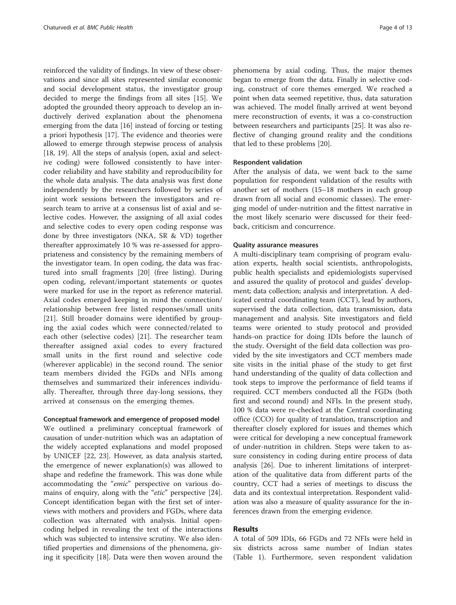reinforced the validity of findings. In view of these observations and since all sites represented similar economic and social development status, the investigator group decided to merge the findings from all sites [\[15](#page-11-0)]. We adopted the grounded theory approach to develop an inductively derived explanation about the phenomena emerging from the data [\[16](#page-11-0)] instead of forcing or testing a priori hypothesis [\[17](#page-11-0)]. The evidence and theories were allowed to emerge through stepwise process of analysis [[18, 19\]](#page-11-0). All the steps of analysis (open, axial and selective coding) were followed consistently to have intercoder reliability and have stability and reproducibility for the whole data analysis. The data analysis was first done independently by the researchers followed by series of joint work sessions between the investigators and research team to arrive at a consensus list of axial and selective codes. However, the assigning of all axial codes and selective codes to every open coding response was done by three investigators (NKA, SR & VD) together thereafter approximately 10 % was re-assessed for appropriateness and consistency by the remaining members of the investigator team. In open coding, the data was fractured into small fragments [[20\]](#page-11-0) (free listing). During open coding, relevant/important statements or quotes were marked for use in the report as reference material. Axial codes emerged keeping in mind the connection/ relationship between free listed responses/small units [[21\]](#page-11-0). Still broader domains were identified by grouping the axial codes which were connected/related to each other (selective codes) [[21\]](#page-11-0). The researcher team thereafter assigned axial codes to every fractured small units in the first round and selective code (wherever applicable) in the second round. The senior team members divided the FGDs and NFIs among themselves and summarized their inferences individually. Thereafter, through three day-long sessions, they arrived at consensus on the emerging themes.

### Conceptual framework and emergence of proposed model

We outlined a preliminary conceptual framework of causation of under-nutrition which was an adaptation of the widely accepted explanations and model proposed by UNICEF [\[22, 23](#page-11-0)]. However, as data analysis started, the emergence of newer explanation(s) was allowed to shape and redefine the framework. This was done while accommodating the "emic" perspective on various domains of enquiry, along with the "*etic*" perspective [\[24](#page-11-0)]. Concept identification began with the first set of interviews with mothers and providers and FGDs, where data collection was alternated with analysis. Initial opencoding helped in revealing the text of the interactions which was subjected to intensive scrutiny. We also identified properties and dimensions of the phenomena, giving it specificity [\[18](#page-11-0)]. Data were then woven around the

phenomena by axial coding. Thus, the major themes began to emerge from the data. Finally in selective coding, construct of core themes emerged. We reached a point when data seemed repetitive, thus, data saturation was achieved. The model finally arrived at went beyond mere reconstruction of events, it was a co-construction between researchers and participants [[25](#page-11-0)]. It was also reflective of changing ground reality and the conditions that led to these problems [\[20](#page-11-0)].

## Respondent validation

After the analysis of data, we went back to the same population for respondent validation of the results with another set of mothers (15–18 mothers in each group drawn from all social and economic classes). The emerging model of under-nutrition and the fittest narrative in the most likely scenario were discussed for their feedback, criticism and concurrence.

## Quality assurance measures

A multi-disciplinary team comprising of program evaluation experts, health social scientists, anthropologists, public health specialists and epidemiologists supervised and assured the quality of protocol and guides' development; data collection; analysis and interpretation. A dedicated central coordinating team (CCT), lead by authors, supervised the data collection, data transmission, data management and analysis. Site investigators and field teams were oriented to study protocol and provided hands-on practice for doing IDIs before the launch of the study. Oversight of the field data collection was provided by the site investigators and CCT members made site visits in the initial phase of the study to get first hand understanding of the quality of data collection and took steps to improve the performance of field teams if required. CCT members conducted all the FGDs (both first and second round) and NFIs. In the present study, 100 % data were re-checked at the Central coordinating office (CCO) for quality of translation, transcription and thereafter closely explored for issues and themes which were critical for developing a new conceptual framework of under-nutrition in children. Steps were taken to assure consistency in coding during entire process of data analysis [\[26\]](#page-11-0). Due to inherent limitations of interpretation of the qualitative data from different parts of the country, CCT had a series of meetings to discuss the data and its contextual interpretation. Respondent validation was also a measure of quality assurance for the inferences drawn from the emerging evidence.

## Results

A total of 509 IDIs, 66 FGDs and 72 NFIs were held in six districts across same number of Indian states (Table [1](#page-2-0)). Furthermore, seven respondent validation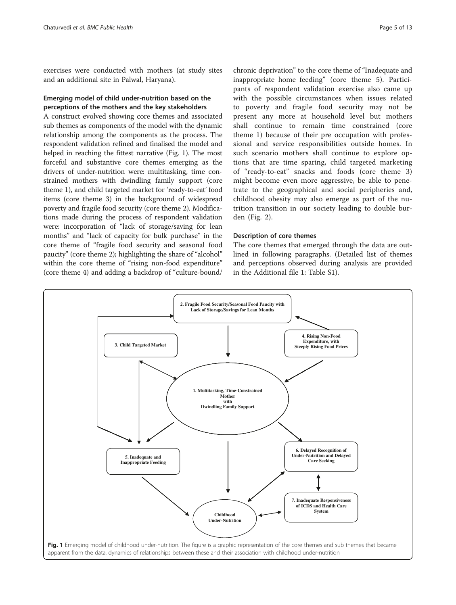<span id="page-4-0"></span>exercises were conducted with mothers (at study sites and an additional site in Palwal, Haryana).

## Emerging model of child under-nutrition based on the perceptions of the mothers and the key stakeholders

A construct evolved showing core themes and associated sub themes as components of the model with the dynamic relationship among the components as the process. The respondent validation refined and finalised the model and helped in reaching the fittest narrative (Fig. 1). The most forceful and substantive core themes emerging as the drivers of under-nutrition were: multitasking, time constrained mothers with dwindling family support (core theme 1), and child targeted market for 'ready-to-eat' food items (core theme 3) in the background of widespread poverty and fragile food security (core theme 2). Modifications made during the process of respondent validation were: incorporation of "lack of storage/saving for lean months" and "lack of capacity for bulk purchase" in the core theme of "fragile food security and seasonal food paucity" (core theme 2); highlighting the share of "alcohol" within the core theme of "rising non-food expenditure" (core theme 4) and adding a backdrop of "culture-bound/

chronic deprivation" to the core theme of "Inadequate and inappropriate home feeding" (core theme 5). Participants of respondent validation exercise also came up with the possible circumstances when issues related to poverty and fragile food security may not be present any more at household level but mothers shall continue to remain time constrained (core theme 1) because of their pre occupation with professional and service responsibilities outside homes. In such scenario mothers shall continue to explore options that are time sparing, child targeted marketing of "ready-to-eat" snacks and foods (core theme 3) might become even more aggressive, be able to penetrate to the geographical and social peripheries and, childhood obesity may also emerge as part of the nutrition transition in our society leading to double burden (Fig. [2\)](#page-5-0).

## Description of core themes

The core themes that emerged through the data are outlined in following paragraphs. (Detailed list of themes and perceptions observed during analysis are provided in the Additional file [1:](#page-10-0) Table S1).

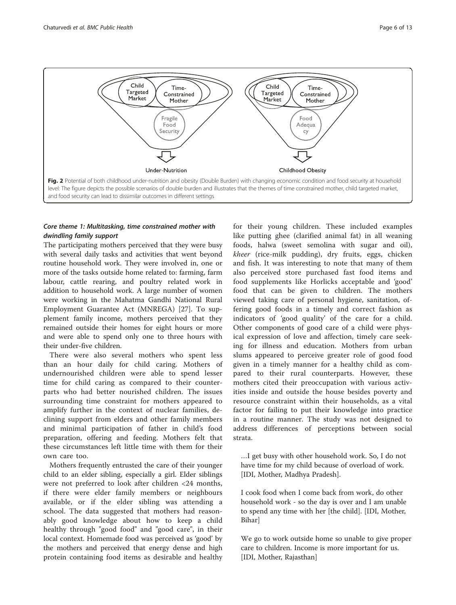<span id="page-5-0"></span>

## Core theme 1: Multitasking, time constrained mother with dwindling family support

The participating mothers perceived that they were busy with several daily tasks and activities that went beyond routine household work. They were involved in, one or more of the tasks outside home related to: farming, farm labour, cattle rearing, and poultry related work in addition to household work. A large number of women were working in the Mahatma Gandhi National Rural Employment Guarantee Act (MNREGA) [\[27](#page-11-0)]. To supplement family income, mothers perceived that they remained outside their homes for eight hours or more and were able to spend only one to three hours with their under-five children.

There were also several mothers who spent less than an hour daily for child caring. Mothers of undernourished children were able to spend lesser time for child caring as compared to their counterparts who had better nourished children. The issues surrounding time constraint for mothers appeared to amplify further in the context of nuclear families, declining support from elders and other family members and minimal participation of father in child's food preparation, offering and feeding. Mothers felt that these circumstances left little time with them for their own care too.

Mothers frequently entrusted the care of their younger child to an elder sibling, especially a girl. Elder siblings were not preferred to look after children <24 months, if there were elder family members or neighbours available, or if the elder sibling was attending a school. The data suggested that mothers had reasonably good knowledge about how to keep a child healthy through "good food" and "good care", in their local context. Homemade food was perceived as 'good' by the mothers and perceived that energy dense and high protein containing food items as desirable and healthy for their young children. These included examples like putting ghee (clarified animal fat) in all weaning foods, halwa (sweet semolina with sugar and oil), kheer (rice-milk pudding), dry fruits, eggs, chicken and fish. It was interesting to note that many of them also perceived store purchased fast food items and food supplements like Horlicks acceptable and 'good' food that can be given to children. The mothers viewed taking care of personal hygiene, sanitation, offering good foods in a timely and correct fashion as indicators of 'good quality' of the care for a child. Other components of good care of a child were physical expression of love and affection, timely care seeking for illness and education. Mothers from urban slums appeared to perceive greater role of good food given in a timely manner for a healthy child as compared to their rural counterparts. However, these mothers cited their preoccupation with various activities inside and outside the house besides poverty and resource constraint within their households, as a vital factor for failing to put their knowledge into practice in a routine manner. The study was not designed to address differences of perceptions between social strata.

…I get busy with other household work. So, I do not have time for my child because of overload of work. [IDI, Mother, Madhya Pradesh].

I cook food when I come back from work, do other household work - so the day is over and I am unable to spend any time with her [the child]. [IDI, Mother, Bihar]

We go to work outside home so unable to give proper care to children. Income is more important for us. [IDI, Mother, Rajasthan]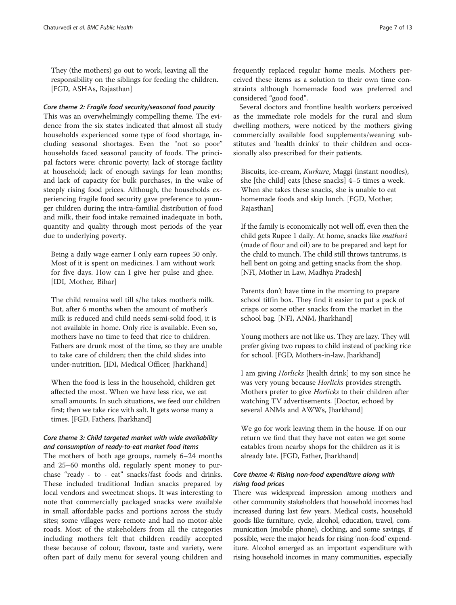They (the mothers) go out to work, leaving all the responsibility on the siblings for feeding the children. [FGD, ASHAs, Rajasthan]

## Core theme 2: Fragile food security/seasonal food paucity

This was an overwhelmingly compelling theme. The evidence from the six states indicated that almost all study households experienced some type of food shortage, including seasonal shortages. Even the "not so poor" households faced seasonal paucity of foods. The principal factors were: chronic poverty; lack of storage facility at household; lack of enough savings for lean months; and lack of capacity for bulk purchases, in the wake of steeply rising food prices. Although, the households experiencing fragile food security gave preference to younger children during the intra-familial distribution of food and milk, their food intake remained inadequate in both, quantity and quality through most periods of the year due to underlying poverty.

Being a daily wage earner I only earn rupees 50 only. Most of it is spent on medicines. I am without work for five days. How can I give her pulse and ghee. [IDI, Mother, Bihar]

The child remains well till s/he takes mother's milk. But, after 6 months when the amount of mother's milk is reduced and child needs semi-solid food, it is not available in home. Only rice is available. Even so, mothers have no time to feed that rice to children. Fathers are drunk most of the time, so they are unable to take care of children; then the child slides into under-nutrition. [IDI, Medical Officer, Jharkhand]

When the food is less in the household, children get affected the most. When we have less rice, we eat small amounts. In such situations, we feed our children first; then we take rice with salt. It gets worse many a times. [FGD, Fathers, Jharkhand]

## Core theme 3: Child targeted market with wide availability and consumption of ready-to-eat market food items

The mothers of both age groups, namely 6–24 months and 25–60 months old, regularly spent money to purchase "ready - to - eat" snacks/fast foods and drinks. These included traditional Indian snacks prepared by local vendors and sweetmeat shops. It was interesting to note that commercially packaged snacks were available in small affordable packs and portions across the study sites; some villages were remote and had no motor-able roads. Most of the stakeholders from all the categories including mothers felt that children readily accepted these because of colour, flavour, taste and variety, were often part of daily menu for several young children and

frequently replaced regular home meals. Mothers perceived these items as a solution to their own time constraints although homemade food was preferred and considered "good food".

Several doctors and frontline health workers perceived as the immediate role models for the rural and slum dwelling mothers, were noticed by the mothers giving commercially available food supplements/weaning substitutes and 'health drinks' to their children and occasionally also prescribed for their patients.

Biscuits, ice-cream, Kurkure, Maggi (instant noodles), she [the child] eats [these snacks] 4–5 times a week. When she takes these snacks, she is unable to eat homemade foods and skip lunch. [FGD, Mother, Rajasthan]

If the family is economically not well off, even then the child gets Rupee 1 daily. At home, snacks like mathari (made of flour and oil) are to be prepared and kept for the child to munch. The child still throws tantrums, is hell bent on going and getting snacks from the shop. [NFI, Mother in Law, Madhya Pradesh]

Parents don't have time in the morning to prepare school tiffin box. They find it easier to put a pack of crisps or some other snacks from the market in the school bag. [NFI, ANM, Jharkhand]

Young mothers are not like us. They are lazy. They will prefer giving two rupees to child instead of packing rice for school. [FGD, Mothers-in-law, Jharkhand]

I am giving Horlicks [health drink] to my son since he was very young because Horlicks provides strength. Mothers prefer to give Horlicks to their children after watching TV advertisements. [Doctor, echoed by several ANMs and AWWs, Jharkhand]

We go for work leaving them in the house. If on our return we find that they have not eaten we get some eatables from nearby shops for the children as it is already late. [FGD, Father, Jharkhand]

## Core theme 4: Rising non-food expenditure along with rising food prices

There was widespread impression among mothers and other community stakeholders that household incomes had increased during last few years. Medical costs, household goods like furniture, cycle, alcohol, education, travel, communication (mobile phone), clothing, and some savings, if possible, were the major heads for rising 'non-food' expenditure. Alcohol emerged as an important expenditure with rising household incomes in many communities, especially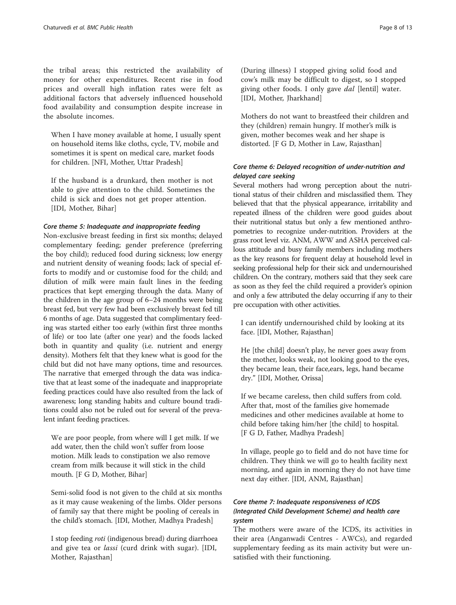the tribal areas; this restricted the availability of money for other expenditures. Recent rise in food prices and overall high inflation rates were felt as additional factors that adversely influenced household food availability and consumption despite increase in the absolute incomes.

When I have money available at home, I usually spent on household items like cloths, cycle, TV, mobile and sometimes it is spent on medical care, market foods for children. [NFI, Mother, Uttar Pradesh]

If the husband is a drunkard, then mother is not able to give attention to the child. Sometimes the child is sick and does not get proper attention. [IDI, Mother, Bihar]

#### Core theme 5: Inadequate and inappropriate feeding

Non-exclusive breast feeding in first six months; delayed complementary feeding; gender preference (preferring the boy child); reduced food during sickness; low energy and nutrient density of weaning foods; lack of special efforts to modify and or customise food for the child; and dilution of milk were main fault lines in the feeding practices that kept emerging through the data. Many of the children in the age group of 6–24 months were being breast fed, but very few had been exclusively breast fed till 6 months of age. Data suggested that complimentary feeding was started either too early (within first three months of life) or too late (after one year) and the foods lacked both in quantity and quality (i.e. nutrient and energy density). Mothers felt that they knew what is good for the child but did not have many options, time and resources. The narrative that emerged through the data was indicative that at least some of the inadequate and inappropriate feeding practices could have also resulted from the lack of awareness; long standing habits and culture bound traditions could also not be ruled out for several of the prevalent infant feeding practices.

We are poor people, from where will I get milk. If we add water, then the child won't suffer from loose motion. Milk leads to constipation we also remove cream from milk because it will stick in the child mouth. [F G D, Mother, Bihar]

Semi-solid food is not given to the child at six months as it may cause weakening of the limbs. Older persons of family say that there might be pooling of cereals in the child's stomach. [IDI, Mother, Madhya Pradesh]

I stop feeding roti (indigenous bread) during diarrhoea and give tea or lassi (curd drink with sugar). [IDI, Mother, Rajasthan]

(During illness) I stopped giving solid food and cow's milk may be difficult to digest, so I stopped giving other foods. I only gave *dal* [lentil] water. [IDI, Mother, Jharkhand]

Mothers do not want to breastfeed their children and they (children) remain hungry. If mother's milk is given, mother becomes weak and her shape is distorted. [F G D, Mother in Law, Rajasthan]

## Core theme 6: Delayed recognition of under-nutrition and delayed care seeking

Several mothers had wrong perception about the nutritional status of their children and misclassified them. They believed that that the physical appearance, irritability and repeated illness of the children were good guides about their nutritional status but only a few mentioned anthropometries to recognize under-nutrition. Providers at the grass root level viz. ANM, AWW and ASHA perceived callous attitude and busy family members including mothers as the key reasons for frequent delay at household level in seeking professional help for their sick and undernourished children. On the contrary, mothers said that they seek care as soon as they feel the child required a provider's opinion and only a few attributed the delay occurring if any to their pre occupation with other activities.

I can identify undernourished child by looking at its face. [IDI, Mother, Rajasthan]

He [the child] doesn't play, he never goes away from the mother, looks weak, not looking good to the eyes, they became lean, their face,ears, legs, hand became dry." [IDI, Mother, Orissa]

If we became careless, then child suffers from cold. After that, most of the families give homemade medicines and other medicines available at home to child before taking him/her [the child] to hospital. [F G D, Father, Madhya Pradesh]

In village, people go to field and do not have time for children. They think we will go to health facility next morning, and again in morning they do not have time next day either. [IDI, ANM, Rajasthan]

## Core theme 7: Inadequate responsiveness of ICDS (Integrated Child Development Scheme) and health care system

The mothers were aware of the ICDS, its activities in their area (Anganwadi Centres - AWCs), and regarded supplementary feeding as its main activity but were unsatisfied with their functioning.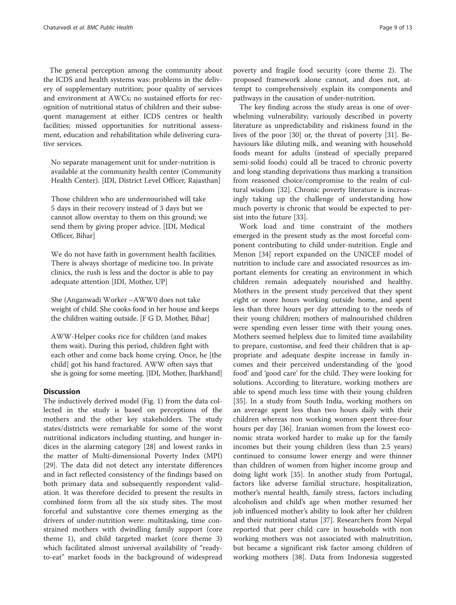The general perception among the community about the ICDS and health systems was: problems in the delivery of supplementary nutrition; poor quality of services and environment at AWCs; no sustained efforts for recognition of nutritional status of children and their subsequent management at either ICDS centres or health facilities; missed opportunities for nutritional assessment, education and rehabilitation while delivering curative services.

No separate management unit for under-nutrition is available at the community health center (Community Health Center). [IDI, District Level Officer, Rajasthan]

Those children who are undernourished will take 5 days in their recovery instead of 3 days but we cannot allow overstay to them on this ground; we send them by giving proper advice. [IDI, Medical Officer, Bihar]

We do not have faith in government health facilities. There is always shortage of medicine too. In private clinics, the rush is less and the doctor is able to pay adequate attention [IDI, Mother, UP]

She (Anganwadi Worker –AWW0 does not take weight of child. She cooks food in her house and keeps the children waiting outside. [F G D, Mother, Bihar]

AWW-Helper cooks rice for children (and makes them wait). During this period, children fight with each other and come back home crying. Once, he [the child] got his hand fractured. AWW often says that she is going for some meeting. [IDI, Mother, Jharkhand]

## **Discussion**

The inductively derived model (Fig. [1](#page-4-0)) from the data collected in the study is based on perceptions of the mothers and the other key stakeholders. The study states/districts were remarkable for some of the worst nutritional indicators including stunting, and hunger indices in the alarming category [[28\]](#page-11-0) and lowest ranks in the matter of Multi-dimensional Poverty Index (MPI) [[29\]](#page-11-0). The data did not detect any interstate differences and in fact reflected consistency of the findings based on both primary data and subsequently respondent validation. It was therefore decided to present the results in combined form from all the six study sites. The most forceful and substantive core themes emerging as the drivers of under-nutrition were: multitasking, time constrained mothers with dwindling family support (core theme 1), and child targeted market (core theme 3) which facilitated almost universal availability of "readyto-eat" market foods in the background of widespread poverty and fragile food security (core theme 2). The proposed framework alone cannot, and does not, attempt to comprehensively explain its components and pathways in the causation of under-nutrition.

The key finding across the study areas is one of overwhelming vulnerability; variously described in poverty literature as unpredictability and riskiness found in the lives of the poor [[30\]](#page-11-0) or, the threat of poverty [[31\]](#page-11-0). Behaviours like diluting milk, and weaning with household foods meant for adults (instead of specially prepared semi-solid foods) could all be traced to chronic poverty and long standing deprivations thus marking a transition from reasoned choice/compromise to the realm of cultural wisdom [[32\]](#page-11-0). Chronic poverty literature is increasingly taking up the challenge of understanding how much poverty is chronic that would be expected to persist into the future [[33\]](#page-11-0).

Work load and time constraint of the mothers emerged in the present study as the most forceful component contributing to child under-nutrition. Engle and Menon [\[34](#page-11-0)] report expanded on the UNICEF model of nutrition to include care and associated resources as important elements for creating an environment in which children remain adequately nourished and healthy. Mothers in the present study perceived that they spent eight or more hours working outside home, and spent less than three hours per day attending to the needs of their young children; mothers of malnourished children were spending even lesser time with their young ones. Mothers seemed helpless due to limited time availability to prepare, customise, and feed their children that is appropriate and adequate despite increase in family incomes and their perceived understanding of the 'good food' and 'good care' for the child. They were looking for solutions. According to literature, working mothers are able to spend much less time with their young children [[35\]](#page-11-0). In a study from South India, working mothers on an average spent less than two hours daily with their children whereas non working women spent three-four hours per day [\[36](#page-11-0)]. Iranian women from the lowest economic strata worked harder to make up for the family incomes but their young children (less than 2.5 years) continued to consume lower energy and were thinner than children of women from higher income group and doing light work [[35\]](#page-11-0). In another study from Portugal, factors like adverse familial structure, hospitalization, mother's mental health, family stress, factors including alcoholism and child's age when mother resumed her job influenced mother's ability to look after her children and their nutritional status [[37\]](#page-11-0). Researchers from Nepal reported that peer child care in households with non working mothers was not associated with malnutrition, but became a significant risk factor among children of working mothers [[38\]](#page-11-0). Data from Indonesia suggested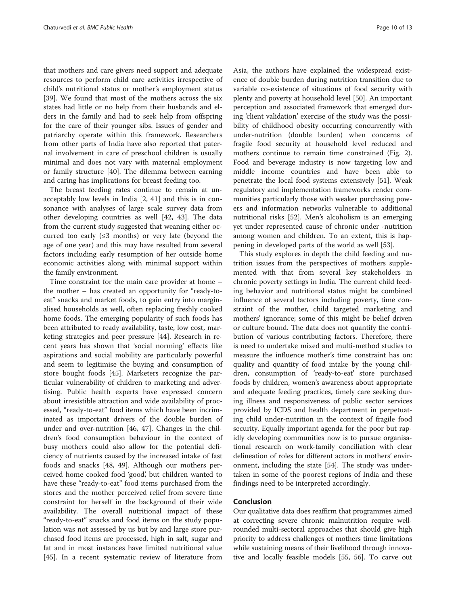that mothers and care givers need support and adequate resources to perform child care activities irrespective of child's nutritional status or mother's employment status [[39\]](#page-11-0). We found that most of the mothers across the six states had little or no help from their husbands and elders in the family and had to seek help from offspring for the care of their younger sibs. Issues of gender and patriarchy operate within this framework. Researchers from other parts of India have also reported that paternal involvement in care of preschool children is usually minimal and does not vary with maternal employment or family structure [[40\]](#page-11-0). The dilemma between earning and caring has implications for breast feeding too.

The breast feeding rates continue to remain at unacceptably low levels in India [\[2, 41\]](#page-11-0) and this is in consonance with analyses of large scale survey data from other developing countries as well [\[42](#page-12-0), [43](#page-12-0)]. The data from the current study suggested that weaning either occurred too early  $(≤3$  months) or very late (beyond the age of one year) and this may have resulted from several factors including early resumption of her outside home economic activities along with minimal support within the family environment.

Time constraint for the main care provider at home – the mother – has created an opportunity for "ready-toeat" snacks and market foods, to gain entry into marginalised households as well, often replacing freshly cooked home foods. The emerging popularity of such foods has been attributed to ready availability, taste, low cost, marketing strategies and peer pressure [\[44](#page-12-0)]. Research in recent years has shown that 'social norming' effects like aspirations and social mobility are particularly powerful and seem to legitimise the buying and consumption of store bought foods [[45](#page-12-0)]. Marketers recognize the particular vulnerability of children to marketing and advertising. Public health experts have expressed concern about irresistible attraction and wide availability of processed, "ready-to-eat" food items which have been incriminated as important drivers of the double burden of under and over-nutrition [[46, 47\]](#page-12-0). Changes in the children's food consumption behaviour in the context of busy mothers could also allow for the potential deficiency of nutrients caused by the increased intake of fast foods and snacks [[48](#page-12-0), [49\]](#page-12-0). Although our mothers perceived home cooked food 'good', but children wanted to have these "ready-to-eat" food items purchased from the stores and the mother perceived relief from severe time constraint for herself in the background of their wide availability. The overall nutritional impact of these "ready-to-eat" snacks and food items on the study population was not assessed by us but by and large store purchased food items are processed, high in salt, sugar and fat and in most instances have limited nutritional value [[45\]](#page-12-0). In a recent systematic review of literature from

Asia, the authors have explained the widespread existence of double burden during nutrition transition due to variable co-existence of situations of food security with plenty and poverty at household level [\[50](#page-12-0)]. An important perception and associated framework that emerged during 'client validation' exercise of the study was the possibility of childhood obesity occurring concurrently with under-nutrition (double burden) when concerns of fragile food security at household level reduced and mothers continue to remain time constrained (Fig. [2](#page-5-0)). Food and beverage industry is now targeting low and middle income countries and have been able to penetrate the local food systems extensively [[51\]](#page-12-0). Weak regulatory and implementation frameworks render communities particularly those with weaker purchasing powers and information networks vulnerable to additional nutritional risks [[52\]](#page-12-0). Men's alcoholism is an emerging yet under represented cause of chronic under -nutrition among women and children. To an extent, this is happening in developed parts of the world as well [\[53](#page-12-0)].

This study explores in depth the child feeding and nutrition issues from the perspectives of mothers supplemented with that from several key stakeholders in chronic poverty settings in India. The current child feeding behavior and nutritional status might be combined influence of several factors including poverty, time constraint of the mother, child targeted marketing and mothers' ignorance; some of this might be belief driven or culture bound. The data does not quantify the contribution of various contributing factors. Therefore, there is need to undertake mixed and multi-method studies to measure the influence mother's time constraint has on: quality and quantity of food intake by the young children, consumption of 'ready-to-eat' store purchased foods by children, women's awareness about appropriate and adequate feeding practices, timely care seeking during illness and responsiveness of public sector services provided by ICDS and health department in perpetuating child under-nutrition in the context of fragile food security. Equally important agenda for the poor but rapidly developing communities now is to pursue organisational research on work-family conciliation with clear delineation of roles for different actors in mothers' environment, including the state [\[54](#page-12-0)]. The study was undertaken in some of the poorest regions of India and these findings need to be interpreted accordingly.

## Conclusion

Our qualitative data does reaffirm that programmes aimed at correcting severe chronic malnutrition require wellrounded multi-sectoral approaches that should give high priority to address challenges of mothers time limitations while sustaining means of their livelihood through innovative and locally feasible models [[55](#page-12-0), [56](#page-12-0)]. To carve out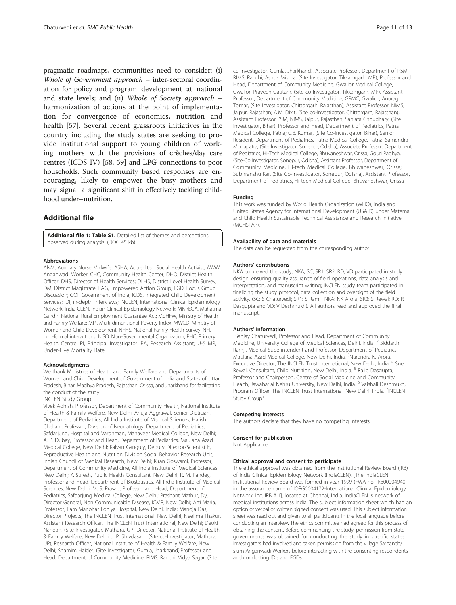<span id="page-10-0"></span>pragmatic roadmaps, communities need to consider: (i) Whole of Government approach – inter-sectoral coordination for policy and program development at national and state levels; and (ii) Whole of Society approach – harmonization of actions at the point of implementation for convergence of economics, nutrition and health [[57\]](#page-12-0). Several recent grassroots initiatives in the country including the study states are seeking to provide institutional support to young children of working mothers with the provisions of crèches/day care centres (ICDS-IV) [\[58, 59\]](#page-12-0) and LPG connections to poor households. Such community based responses are encouraging, likely to empower the busy mothers and may signal a significant shift in effectively tackling childhood under–nutrition.

## Additional file

[Additional file 1: Table S1.](dx.doi.org/10.1186/s12889-016-3189-4) Detailed list of themes and perceptions observed during analysis. (DOC 45 kb)

#### Abbreviations

ANM, Auxiliary Nurse Midwife; ASHA, Accredited Social Health Activist; AWW, Anganwadi Worker; CHC, Community Health Center; DHO, District Health Officer; DHS, Director of Health Services; DLHS, District Level Health Survey; DM, District Magistrate; EAG, Empowered Action Group; FGD, Focus Group Discussion; GOI, Government of India; ICDS, Integrated Child Development Services; IDI, in-depth interviews; INCLEN, International Clinical Epidemiology Network; India-CLEN, Indian Clinical Epidemiology Network; MNREGA, Mahatma Gandhi National Rural Employment Guarantee Act; MoHFW, Ministry of Health and Family Welfare; MPI, Multi-dimensional Poverty Index; MWCD, Ministry of Women and Child Development; NFHS, National Family Health Survey; NFI, non-formal interactions; NGO, Non-Governmental Organization; PHC, Primary Health Centre; PI, Principal Investigator; RA, Research Assistant; U-5 MR, Under-Five Mortality Rate

#### Acknowledgments

We thank Ministries of Health and Family Welfare and Departments of Women and Child Development of Government of India and States of Uttar Pradesh, Bihar, Madhya Pradesh, Rajasthan, Orissa, and Jharkhand for facilitating the conduct of the study.

#### INCLEN Study Group

Vivek Adhish, Professor, Department of Community Health, National Institute of Health & Family Welfare, New Delhi; Anuja Aggrawal, Senior Dietician, Department of Pediatrics, All India Institute of Medical Sciences; Harish Chellani, Professor, Division of Neonatology, Department of Pediatrics, Safdarjung, Hospital and Vardhman, Mahaveer Medical College, New Delhi; A. P. Dubey, Professor and Head, Department of Pediatrics, Maulana Azad Medical College, New Delhi; Kalyan Ganguly, Deputy Director/Scientist E, Reproductive Health and Nutrition Division Social Behavior Research Unit, Indian Council of Medical Research, New Delhi; Kiran Goswami, Professor, Department of Community Medicine, All India Institute of Medical Sciences, New Delhi; K. Suresh, Public Health Consultant, New Delhi; R. M. Pandey, Professor and Head, Department of Biostatistics, All India Institute of Medical Sciences, New Delhi; M. S. Prasad, Professor and Head, Department of Pediatrics, Safdarjung Medical College, New Delhi; Prashant Mathur, Dy. Director General, Non Communicable Disease, ICMR, New Delhi; Arti Maria, Professor, Ram Manohar Lohiya Hospital, New Delhi, India; Manoja Das, Director Projects, The INCLEN Trust International, New Delhi; Neelima Thakur, Assistant Research Officer, The INCLEN Trust International, New Delhi; Deoki Nandan, (Site Investigator, Mathura, UP) Director, National Institute of Health & Family Welfare, New Delhi; J. P. Shivdasani, (Site co-Investigator, Mathura, UP), Research Officer, National Institute of Health & Family Welfare, New Delhi; Shamim Haider, (Site Investigator, Gumla, Jharkhand),Professor and Head, Department of Community Medicine, RIMS, Ranchi; Vidya Sagar, (Site

co-Investigator, Gumla, Jharkhand), Associate Professor, Department of PSM, RIMS, Ranchi; Ashok Mishra, (Site Investigator, Tikkamgarh, MP), Professor and Head, Department of Community Medicine, Gwalior Medical College, Gwalior; Praveen Gautam, (Site co-Investigator, Tikkamgarh, MP), Assistant Professor, Department of Community Medicine, GRMC, Gwalior; Anurag Tomar, (Site Investigator, Chittorgarh, Rajasthan), Assistant Professor, NIMS, Jaipur, Rajasthan; A.M. Dixit, (Site co-Investigator, Chittorgarh, Rajasthan), Assistant Professor PSM, NIMS, Jaipur, Rajasthan; Sanjata Choudhary, (Site Investigator, Bihar), Professor and Head, Department of Pediatrics, Patna Medical College, Patna; C.B. Kumar, (Site Co-Investigator, Bihar), Senior Resident, Department of Pediatrics, Patna Medical College, Patna; Samendra Mohapatra, (Site Investigator, Sonepur, Odisha), Associate Professor, Department of Pediatrics, Hi-Tech Medical College, Bhuvaneshwar, Orissa; Gouri Padhya, (Site-Co Investigator, Sonepur, Odisha), Assistant Professor, Department of Community Medicine, Hi-tech Medical College, Bhuvaneshwar, Orissa; Subhranshu Kar, (Site Co-Investigator, Sonepur, Odisha), Assistant Professor, Department of Pediatrics, Hi-tech Medical College, Bhuvaneshwar, Orissa

#### Funding

This work was funded by World Health Organization (WHO), India and United States Agency for International Development (USAID) under Maternal and Child Health Sustainable Technical Assistance and Research Initiative (MCHSTAR).

#### Availability of data and materials

The data can be requested from the corresponding author

#### Authors' contributions

NKA conceived the study; NKA, SC, SR1, SR2, RD, VD participated in study design, ensuring quality assurance of field operations, data analysis and interpretation, and manuscript writing; INCLEN study team participated in finalizing the study protocol, data collection and oversight of the field activity. (SC: S Chaturvedi; SR1: S Ramji; NKA: NK Arora; SR2: S Rewal; RD: R Dasgupta and VD: V Deshmukh). All authors read and approved the final manuscript.

#### Authors' information <sup>1</sup>

<sup>1</sup> Sanjay Chaturvedi, Professor and Head, Department of Community Medicine, University College of Medical Sciences, Delhi, India. <sup>2</sup> Siddarth Ramji, Medical Superintendent and Professor, Department of Pediatrics, Maulana Azad Medical College, New Delhi, India. <sup>3</sup>Narendra K. Arora, Executive Director, The INCLEN Trust International, New Delhi, India. <sup>4</sup> Sneh Rewal, Consultant, Child Nutrition, New Delhi, India.<sup>5</sup> Rajib Dasgupta, Professor and Chairperson, Centre of Social Medicine and Community Health, Jawaharlal Nehru University, New Delhi, India. <sup>6</sup> Vaishali Deshmukh, Program Officer, The INCLEN Trust International, New Delhi, India. <sup>7</sup>INCLEN Study Group\*

#### Competing interests

The authors declare that they have no competing interests.

#### Consent for publication

Not Applicable.

#### Ethical approval and consent to participate

The ethical approval was obtained from the Institutional Review Board (IRB) of India Clinical Epidemiology Network (IndiaCLEN). [The IndiaCLEN Institutional Review Board was formed in year 1999 (FWA no: IRB00004940, in the assurance name of IORG0004172-International Clinical Epidemiology Network, Inc. IRB # 1], located at Chennai, India. IndiaCLEN is network of medical institutions across India. The subject information sheet which had an option of verbal or written signed consent was used. This subject information sheet was read out and given to all participants in the local language before conducting an interview. The ethics committee had agreed for this process of obtaining the consent. Before commencing the study, permission from state governments was obtained for conducting the study in specific states. Investigators had involved and taken permission from the village Sarpanch/ slum Anganwadi Workers before interacting with the consenting respondents and conducting IDIs and FGDs.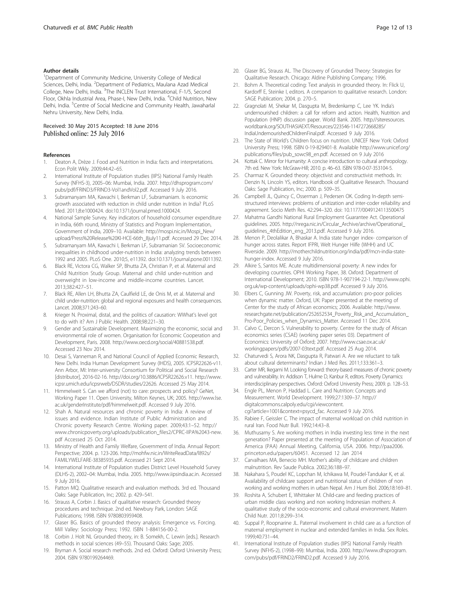### <span id="page-11-0"></span>Author details

<sup>1</sup>Department of Community Medicine, University College of Medical Sciences, Delhi, India. <sup>2</sup>Department of Pediatrics, Maulana Azad Medical College, New Delhi, India. <sup>3</sup>The INCLEN Trust International, F-1/5, Second Floor, Okhla Industrial Area, Phase-I, New Delhi, India. <sup>4</sup>Child Nutrition, New Delhi, India. <sup>5</sup>Centre of Social Medicine and Community Health, Jawaharlal Nehru University, New Delhi, India.

#### Received: 30 May 2015 Accepted: 18 June 2016 Published online: 25 July 2016

#### References

- 1. Deaton A, Drèze J. Food and Nutrition in India: facts and interpretations. Econ Polit Wkly. 2009;44:42–65.
- 2. International Institute of Population studies (IIPS) National Family Health Survey (NFHS-3), 2005–06: Mumbai, India. 2007. [http://dhsprogram.com/](http://dhsprogram.com/pubs/pdf/FRIND3/FRIND3-Vol1andVol2.pdf) [pubs/pdf/FRIND3/FRIND3-Vol1andVol2.pdf](http://dhsprogram.com/pubs/pdf/FRIND3/FRIND3-Vol1andVol2.pdf). Accessed 9 July 2016.
- Subramanyam MA, Kawachi I, Berkman LF, Subramaniam. Is economic growth associated with reduction in child under nutrition in India? PLoS Med. 2011;8:e1000424. doi[:10.1371/journal.pmed.1000424.](http://dx.doi.org/10.1371/journal.pmed.1000424)
- 4. National Sample Survey. Key indicators of household consumer expenditure in India, 66th round, Ministry of Statistics and Program Implementation, Government of India, 2009–10. Available: [http://mospi.nic.in/Mospi\\_New/](http://mospi.nic.in/Mospi_New/upload/Press%20Release%20KI-HCE-66th_8july11.pdf) [upload/Press%20Release%20KI-HCE-66th\\_8july11.pdf](http://mospi.nic.in/Mospi_New/upload/Press%20Release%20KI-HCE-66th_8july11.pdf). Accessed 29 Dec 2014.
- 5. Subramanyam MA, Kawachi I, Berkman LF, Subramanian SV. Socioeconomic inequalities in childhood under-nutrition in India: analyzing trends between 1992 and 2005. PLoS One. 2010;5, e11392. doi[:10.1371/journal.pone.0011392.](http://dx.doi.org/10.1371/journal.pone.0011392)
- 6. Black RE, Victora CG, Walker SP, Bhutta ZA, Christian P, et al. Maternal and Child Nutrition Study Group. Maternal and child under-nutrition and overweight in low-income and middle-income countries. Lancet. 2013;382:427–51.
- 7. Black RE, Allen LH, Bhutta ZA, Caulfield LE, de Onis M, et al. Maternal and child under-nutrition: global and regional exposures and health consequences. Lancet. 2008;371:243–60.
- 8. Krieger N. Proximal, distal, and the politics of causation: WWhat's level got to do with it? Am J Public Health. 2008;98:221–30.
- 9. Gender and Sustainable Development. Maximizing the economic, social and environmental role of women. Organisation for Economic Cooperation and Development, Paris. 2008.<http://www.oecd.org/social/40881538.pdf>. Accessed 23 Nov 2014.
- 10. Desai S, Vanneman R, and National Council of Applied Economic Research, New Delhi. India Human Development Survey (IHDS), 2005. ICPSR22626-v11. Ann Arbor, MI: Inter-university Consortium for Political and Social Research [distributor], 2016-02-16.<http://doi.org/10.3886/ICPSR22626.v11>. [http://www.](http://www.icpsr.umich.edu/icpsrweb/DSDR/studies/22626) [icpsr.umich.edu/icpsrweb/DSDR/studies/22626](http://www.icpsr.umich.edu/icpsrweb/DSDR/studies/22626). Accessed 25 May 2014.
- 11. Himmelweit S. Can we afford (not) to care: prospects and policy? GeNet, Working Paper 11. Open University, Milton Keynes, UK; 2005. [http://www.lse.](http://www.lse.ac.uk/genderInstitute/pdf/himmelweit.pdf) [ac.uk/genderInstitute/pdf/himmelweit.pdf.](http://www.lse.ac.uk/genderInstitute/pdf/himmelweit.pdf) Accessed 9 July 2016.
- 12. Shah A. Natural resources and chronic poverty in India: A review of issues and evidence. Indian Institute of Public Administration and Chronic poverty Research Centre. Working paper. 2009;43:1–52. [http://](http://www.chronicpoverty.org/uploads/publication_files2/CPRC-IIPA%2043-new.pdf) [www.chronicpoverty.org/uploads/publication\\_files2/CPRC-IIPA%2043-new.](http://www.chronicpoverty.org/uploads/publication_files2/CPRC-IIPA%2043-new.pdf) [pdf](http://www.chronicpoverty.org/uploads/publication_files2/CPRC-IIPA%2043-new.pdf) Accessed 25 Oct 2014.
- 13. Ministry of Health and Family Welfare, Government of India. Annual Report: Perspective; 2004. p. 123-206. [http://mohfw.nic.in/WriteReadData/l892s/](http://mohfw.nic.in/WriteReadData/l892s/FAMILYWELFARE-38385935.pdf) [FAMILYWELFARE-38385935.pdf](http://mohfw.nic.in/WriteReadData/l892s/FAMILYWELFARE-38385935.pdf). Accessed 21 Sept 2014.
- 14. International Institute of Population studies District Level Household Survey (DLHS-2), 2002–04: Mumbai, India. 2005. [http://www.iipsindia.ac.in.](http://www.iipsindia.ac.in) Accessed 9 July 2016.
- 15. Patton MQ. Qualitative research and evaluation methods. 3rd ed. Thousand Oaks: Sage Publication, Inc; 2002. p. 429–541.
- 16. Strauss A, Corbin J. Basics of qualitative research: Grounded theory procedures and technique. 2nd ed. Newbury Park, London: SAGE Publications; 1998. ISBN 9780803959408.
- 17. Glaser BG. Basics of grounded theory analysis: Emergence vs. Forcing. Mill Valley: Sociology Press; 1992. ISBN 1-884156-00-2.
- 18. Corbin J. Holt NL Grounded theory, in: B. Somekh, C. Lewin [eds.]. Research methods in social sciences (49–55). Thousand Oaks: Sage; 2005.
- 19. Bryman A. Social research methods. 2nd ed. Oxford: Oxford University Press; 2004. ISBN 9780199264469.
- 20. Glaser BG, Strauss AL. The Discovery of Grounded Theory: Strategies for Qualitative Research. Chicago: Aldine Publishing Company; 1996.
- 21. Bohm A. Theoretical coding: Text analysis in grounded theory. In: Flick U, Kardorff E, Steinke I, editors. A companion to qualitative research. London: SAGE Publication; 2004. p. 270–5.
- 22. Gragnolati M, Shekar M, Dasgupta M, Bredenkamp C, Lee YK. India's undernourished children: a call for reform and action. Health, Nutrition and Population (HNP) discussion paper. World Bank. 2005. [http://siteresources.](http://siteresources.worldbank.org/SOUTHASIAEXT/Resources/223546-1147272668285/IndiaUndernourishedChildrenFinal.pdf) [worldbank.org/SOUTHASIAEXT/Resources/223546-1147272668285/](http://siteresources.worldbank.org/SOUTHASIAEXT/Resources/223546-1147272668285/IndiaUndernourishedChildrenFinal.pdf) [IndiaUndernourishedChildrenFinal.pdf.](http://siteresources.worldbank.org/SOUTHASIAEXT/Resources/223546-1147272668285/IndiaUndernourishedChildrenFinal.pdf) Accessed 9 July 2016.
- 23. The State of World's Children focus on nutrition. UNICEF New York: Oxford University Press; 1998. ISBN 0-19-829401-8. Available [http://www.unicef.org/](http://www.unicef.org/publications/files/pub_sowc98_en.pdf) [publications/files/pub\\_sowc98\\_en.pdf.](http://www.unicef.org/publications/files/pub_sowc98_en.pdf) Accessed on 9 July 2016
- 24. Kottak C. Mirror for Humanity: A concise introduction to cultural anthropology. 7th ed. New York: McGraw-Hill; 2010. p. 46–63. ISBN 978-0-07-353104-5.
- 25. Charmaz K. Grounded theory: objectivist and constructivist methods. In: Denzin N, Lincoln YS, editors. Handbook of Qualitative Research. Thousand Oaks: Sage Publication, Inc; 2000. p. 509–35.
- 26. Campbell JL, Quincy C, Osserman J, Pedersen OK. Coding In-depth semistructured interviews: problems of unitization and inter-coder reliability and agreement. Socio Meth Res. 42:294–320. doi: [10.1177/0049124113500475](http://dx.doi.org/10.1177/0049124113500475)
- 27. Mahatma Gandhi National Rural Employment Guarantee Act. Operational guidelines. 2005. [http://nrega.nic.in/Circular\\_Archive/archive/Operational\\_](http://nrega.nic.in/Circular_Archive/archive/Operational_guidelines_4thEdition_eng_2013.pdf) [guidelines\\_4thEdition\\_eng\\_2013.pdf](http://nrega.nic.in/Circular_Archive/archive/Operational_guidelines_4thEdition_eng_2013.pdf). Accessed 9 July 2016.
- Menon P, Deolalikar A, Bhaskar A. India state hunger index- comparison of hunger across states. Report IFPRI, Welt Hunger Hilfe (WHH) and UC Riverside. 2009. [http://motherchildnutrition.org/india/pdf/mcn-india-state](http://motherchildnutrition.org/india/pdf/mcn-india-state-hunger-index)[hunger-index](http://motherchildnutrition.org/india/pdf/mcn-india-state-hunger-index). Accessed 9 July 2016.
- 29. Alkire S, Santos ME. Acute multidimensional poverty: A new index for developing countries. OPHI Working Paper, 38. Oxford: Department of International Development; 2010. ISBN 978-1-907194-22-1. [http://www.ophi.](http://www.ophi.org.uk/wp-content/uploads/ophi-wp38.pdf) [org.uk/wp-content/uploads/ophi-wp38.pdf.](http://www.ophi.org.uk/wp-content/uploads/ophi-wp38.pdf) Accessed 9 July 2016.
- 30. Elbers C, Gunning JW. Poverty, risk, and accumulation: pro-poor policies when dynamic matter. Oxford, UK: Paper presented at the meeting of Center for the study of African economics; 2006. Available: [http://www.](http://www.researchgate.net/publication/252652534_Poverty_Risk_and_Accumulation_Pro-Poor_Policies_when_Dynamics_Matter) [researchgate.net/publication/252652534\\_Poverty\\_Risk\\_and\\_Accumulation\\_](http://www.researchgate.net/publication/252652534_Poverty_Risk_and_Accumulation_Pro-Poor_Policies_when_Dynamics_Matter) [Pro-Poor\\_Policies\\_when\\_Dynamics\\_Matter.](http://www.researchgate.net/publication/252652534_Poverty_Risk_and_Accumulation_Pro-Poor_Policies_when_Dynamics_Matter) Accessed 11 Dec 2014.
- 31. Calvo C, Dercon S. Vulnerability to poverty. Centre for the study of African economics series (CSAE) (working paper series 03). Department of Economics: University of Oxford; 2007. [http://www.csae.ox.ac.uk/](http://www.csae.ox.ac.uk/workingpapers/pdfs/2007-03text.pdf) [workingpapers/pdfs/2007-03text.pdf.](http://www.csae.ox.ac.uk/workingpapers/pdfs/2007-03text.pdf) Accessed 25 Aug 2014.
- 32. Chaturvedi S, Arora NK, Dasgupta R, Patwari A. Are we reluctant to talk about cultural determinants? Indian J Med Res. 2011;133:361–3.
- 33. Carter MR, Ikegami M. Looking forward: theory-based measures of chronic poverty and vulnerability. In: Addison T, Hulme D, Kanbur R, editors. Poverty Dynamics: interdisciplinary perspectives. Oxford: Oxford University Press; 2009. p. 128–53.
- 34. Engle PL, Menon P, Haddad L. Care and Nutrition: Concepts and Measurement. World Development. 1999;27:1309–37. [http://](http://digitalcommons.calpoly.edu/cgi/viewcontent.cgi?article=1001&context=psycd_fac) [digitalcommons.calpoly.edu/cgi/viewcontent.](http://digitalcommons.calpoly.edu/cgi/viewcontent.cgi?article=1001&context=psycd_fac) [cgi?article=1001&context=psycd\\_fac](http://digitalcommons.calpoly.edu/cgi/viewcontent.cgi?article=1001&context=psycd_fac). Accessed 9 July 2016.
- 35. Rabiee F, Geissler C. The impact of maternal workload on child nutrition in rural Iran. Food Nutr Bull. 1992;14:43–8.
- 36. Muthusamy S. Are working mothers in India investing less time in the next generation? Paper presented at the meeting of Population of Association of America (PAA) Annual Meeting, California, USA. 2006. [http://paa2006.](http://paa2006.princeton.edu/papers/60451) [princeton.edu/papers/60451.](http://paa2006.princeton.edu/papers/60451) Accessed 12 Jan 2014
- 37. Carvalhaes MA, Benecio MH. Mother's ability of childcare and children malnutrition. Rev Saude Publica. 2002;36:188–97.
- 38. Nakahara S, Poudel KC, Lopchan M, Ichikawa M, Poudel-Tandukar K, et al. Availability of childcare support and nutritional status of children of non working and working mothers in urban Nepal. Am J Hum Biol. 2006;18:169–81.
- 39. Roshita A, Schubert E, Whittaker M. Child-care and feeding practices of urban middle class working and non working Indonesian mothers: A qualitative study of the socio-economic and cultural environment. Matern Child Nutr. 2011;8:299–314.
- 40. Suppal P, Roopnarine JL. Paternal involvement in child care as a function of maternal employment in nuclear and extended families in India. Sex Roles. 1999;40:731–44.
- 41. International Institute of Population studies (IIPS) National Family Health Survey (NFHS-2), (1998–99): Mumbai, India. 2000. [http://www.dhsprogram.](http://www.dhsprogram.com/pubs/pdf/FRIND2/FRIND2.pdf) [com/pubs/pdf/FRIND2/FRIND2.pdf](http://www.dhsprogram.com/pubs/pdf/FRIND2/FRIND2.pdf). Accessed 9 July 2016.